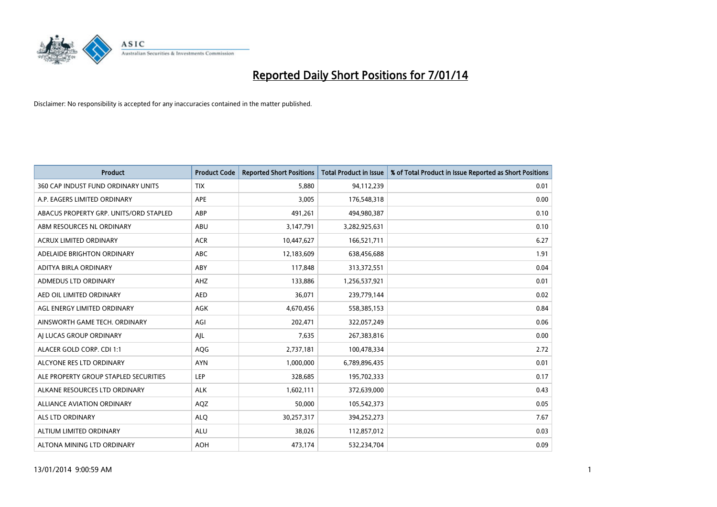

| <b>Product</b>                         | <b>Product Code</b> | <b>Reported Short Positions</b> | <b>Total Product in Issue</b> | % of Total Product in Issue Reported as Short Positions |
|----------------------------------------|---------------------|---------------------------------|-------------------------------|---------------------------------------------------------|
| 360 CAP INDUST FUND ORDINARY UNITS     | <b>TIX</b>          | 5,880                           | 94,112,239                    | 0.01                                                    |
| A.P. EAGERS LIMITED ORDINARY           | APE                 | 3,005                           | 176,548,318                   | 0.00                                                    |
| ABACUS PROPERTY GRP. UNITS/ORD STAPLED | ABP                 | 491,261                         | 494,980,387                   | 0.10                                                    |
| ABM RESOURCES NL ORDINARY              | ABU                 | 3,147,791                       | 3,282,925,631                 | 0.10                                                    |
| <b>ACRUX LIMITED ORDINARY</b>          | <b>ACR</b>          | 10,447,627                      | 166,521,711                   | 6.27                                                    |
| ADELAIDE BRIGHTON ORDINARY             | <b>ABC</b>          | 12,183,609                      | 638,456,688                   | 1.91                                                    |
| ADITYA BIRLA ORDINARY                  | ABY                 | 117,848                         | 313,372,551                   | 0.04                                                    |
| ADMEDUS LTD ORDINARY                   | AHZ                 | 133,886                         | 1,256,537,921                 | 0.01                                                    |
| AED OIL LIMITED ORDINARY               | <b>AED</b>          | 36,071                          | 239,779,144                   | 0.02                                                    |
| AGL ENERGY LIMITED ORDINARY            | <b>AGK</b>          | 4,670,456                       | 558,385,153                   | 0.84                                                    |
| AINSWORTH GAME TECH. ORDINARY          | AGI                 | 202,471                         | 322,057,249                   | 0.06                                                    |
| AI LUCAS GROUP ORDINARY                | AJL                 | 7,635                           | 267,383,816                   | 0.00                                                    |
| ALACER GOLD CORP. CDI 1:1              | AQG                 | 2,737,181                       | 100,478,334                   | 2.72                                                    |
| ALCYONE RES LTD ORDINARY               | <b>AYN</b>          | 1,000,000                       | 6,789,896,435                 | 0.01                                                    |
| ALE PROPERTY GROUP STAPLED SECURITIES  | <b>LEP</b>          | 328,685                         | 195,702,333                   | 0.17                                                    |
| ALKANE RESOURCES LTD ORDINARY          | <b>ALK</b>          | 1,602,111                       | 372,639,000                   | 0.43                                                    |
| ALLIANCE AVIATION ORDINARY             | AQZ                 | 50,000                          | 105,542,373                   | 0.05                                                    |
| <b>ALS LTD ORDINARY</b>                | <b>ALQ</b>          | 30,257,317                      | 394,252,273                   | 7.67                                                    |
| ALTIUM LIMITED ORDINARY                | <b>ALU</b>          | 38,026                          | 112,857,012                   | 0.03                                                    |
| ALTONA MINING LTD ORDINARY             | <b>AOH</b>          | 473,174                         | 532,234,704                   | 0.09                                                    |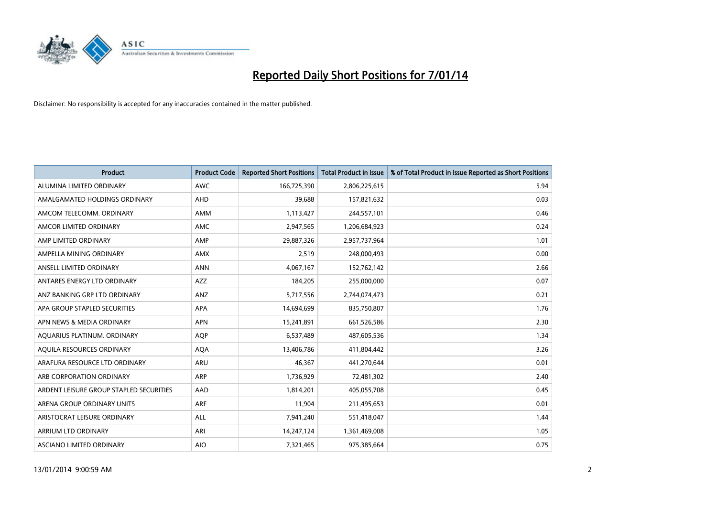

| <b>Product</b>                          | <b>Product Code</b> | <b>Reported Short Positions</b> | <b>Total Product in Issue</b> | % of Total Product in Issue Reported as Short Positions |
|-----------------------------------------|---------------------|---------------------------------|-------------------------------|---------------------------------------------------------|
| ALUMINA LIMITED ORDINARY                | <b>AWC</b>          | 166,725,390                     | 2,806,225,615                 | 5.94                                                    |
| AMALGAMATED HOLDINGS ORDINARY           | AHD                 | 39,688                          | 157,821,632                   | 0.03                                                    |
| AMCOM TELECOMM. ORDINARY                | AMM                 | 1,113,427                       | 244,557,101                   | 0.46                                                    |
| AMCOR LIMITED ORDINARY                  | AMC                 | 2,947,565                       | 1,206,684,923                 | 0.24                                                    |
| AMP LIMITED ORDINARY                    | AMP                 | 29,887,326                      | 2,957,737,964                 | 1.01                                                    |
| AMPELLA MINING ORDINARY                 | <b>AMX</b>          | 2,519                           | 248,000,493                   | 0.00                                                    |
| ANSELL LIMITED ORDINARY                 | <b>ANN</b>          | 4,067,167                       | 152,762,142                   | 2.66                                                    |
| ANTARES ENERGY LTD ORDINARY             | AZZ                 | 184,205                         | 255,000,000                   | 0.07                                                    |
| ANZ BANKING GRP LTD ORDINARY            | ANZ                 | 5,717,556                       | 2,744,074,473                 | 0.21                                                    |
| APA GROUP STAPLED SECURITIES            | <b>APA</b>          | 14,694,699                      | 835,750,807                   | 1.76                                                    |
| APN NEWS & MEDIA ORDINARY               | <b>APN</b>          | 15,241,891                      | 661,526,586                   | 2.30                                                    |
| AQUARIUS PLATINUM. ORDINARY             | <b>AOP</b>          | 6,537,489                       | 487,605,536                   | 1.34                                                    |
| AQUILA RESOURCES ORDINARY               | <b>AQA</b>          | 13,406,786                      | 411,804,442                   | 3.26                                                    |
| ARAFURA RESOURCE LTD ORDINARY           | <b>ARU</b>          | 46,367                          | 441,270,644                   | 0.01                                                    |
| ARB CORPORATION ORDINARY                | <b>ARP</b>          | 1,736,929                       | 72,481,302                    | 2.40                                                    |
| ARDENT LEISURE GROUP STAPLED SECURITIES | AAD                 | 1,814,201                       | 405,055,708                   | 0.45                                                    |
| ARENA GROUP ORDINARY UNITS              | <b>ARF</b>          | 11,904                          | 211,495,653                   | 0.01                                                    |
| ARISTOCRAT LEISURE ORDINARY             | ALL                 | 7,941,240                       | 551,418,047                   | 1.44                                                    |
| ARRIUM LTD ORDINARY                     | ARI                 | 14,247,124                      | 1,361,469,008                 | 1.05                                                    |
| ASCIANO LIMITED ORDINARY                | <b>AIO</b>          | 7,321,465                       | 975,385,664                   | 0.75                                                    |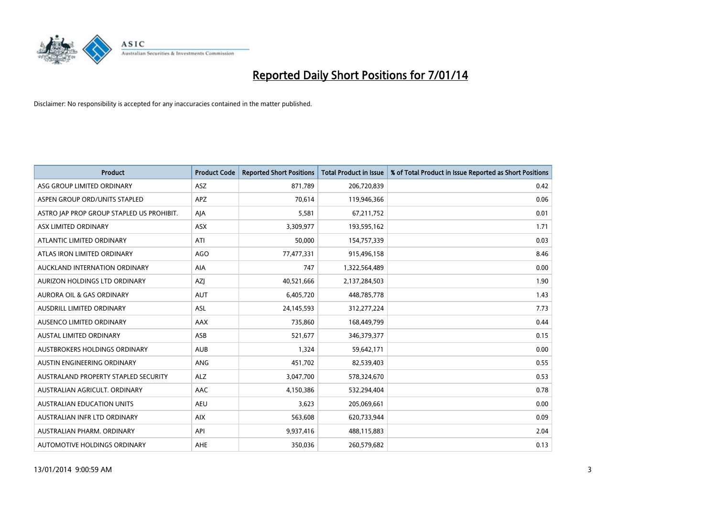

| <b>Product</b>                            | <b>Product Code</b> | <b>Reported Short Positions</b> | <b>Total Product in Issue</b> | % of Total Product in Issue Reported as Short Positions |
|-------------------------------------------|---------------------|---------------------------------|-------------------------------|---------------------------------------------------------|
| ASG GROUP LIMITED ORDINARY                | ASZ                 | 871,789                         | 206,720,839                   | 0.42                                                    |
| ASPEN GROUP ORD/UNITS STAPLED             | <b>APZ</b>          | 70,614                          | 119,946,366                   | 0.06                                                    |
| ASTRO JAP PROP GROUP STAPLED US PROHIBIT. | AJA                 | 5,581                           | 67,211,752                    | 0.01                                                    |
| ASX LIMITED ORDINARY                      | ASX                 | 3,309,977                       | 193,595,162                   | 1.71                                                    |
| ATLANTIC LIMITED ORDINARY                 | ATI                 | 50,000                          | 154,757,339                   | 0.03                                                    |
| ATLAS IRON LIMITED ORDINARY               | <b>AGO</b>          | 77,477,331                      | 915,496,158                   | 8.46                                                    |
| AUCKLAND INTERNATION ORDINARY             | AIA                 | 747                             | 1,322,564,489                 | 0.00                                                    |
| AURIZON HOLDINGS LTD ORDINARY             | AZJ                 | 40,521,666                      | 2,137,284,503                 | 1.90                                                    |
| <b>AURORA OIL &amp; GAS ORDINARY</b>      | <b>AUT</b>          | 6,405,720                       | 448,785,778                   | 1.43                                                    |
| AUSDRILL LIMITED ORDINARY                 | <b>ASL</b>          | 24,145,593                      | 312,277,224                   | 7.73                                                    |
| AUSENCO LIMITED ORDINARY                  | AAX                 | 735,860                         | 168,449,799                   | 0.44                                                    |
| AUSTAL LIMITED ORDINARY                   | ASB                 | 521,677                         | 346, 379, 377                 | 0.15                                                    |
| <b>AUSTBROKERS HOLDINGS ORDINARY</b>      | <b>AUB</b>          | 1,324                           | 59,642,171                    | 0.00                                                    |
| <b>AUSTIN ENGINEERING ORDINARY</b>        | <b>ANG</b>          | 451,702                         | 82,539,403                    | 0.55                                                    |
| AUSTRALAND PROPERTY STAPLED SECURITY      | <b>ALZ</b>          | 3,047,700                       | 578,324,670                   | 0.53                                                    |
| AUSTRALIAN AGRICULT. ORDINARY             | AAC                 | 4,150,386                       | 532,294,404                   | 0.78                                                    |
| <b>AUSTRALIAN EDUCATION UNITS</b>         | <b>AEU</b>          | 3,623                           | 205,069,661                   | 0.00                                                    |
| AUSTRALIAN INFR LTD ORDINARY              | <b>AIX</b>          | 563,608                         | 620,733,944                   | 0.09                                                    |
| AUSTRALIAN PHARM, ORDINARY                | API                 | 9,937,416                       | 488,115,883                   | 2.04                                                    |
| AUTOMOTIVE HOLDINGS ORDINARY              | <b>AHE</b>          | 350,036                         | 260,579,682                   | 0.13                                                    |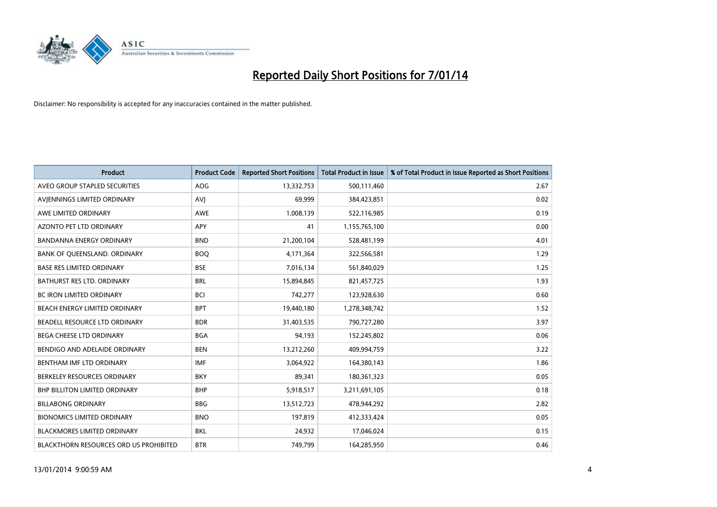

| <b>Product</b>                                | <b>Product Code</b> | <b>Reported Short Positions</b> | <b>Total Product in Issue</b> | % of Total Product in Issue Reported as Short Positions |
|-----------------------------------------------|---------------------|---------------------------------|-------------------------------|---------------------------------------------------------|
| AVEO GROUP STAPLED SECURITIES                 | AOG                 | 13,332,753                      | 500,111,460                   | 2.67                                                    |
| AVJENNINGS LIMITED ORDINARY                   | <b>AVJ</b>          | 69,999                          | 384,423,851                   | 0.02                                                    |
| AWE LIMITED ORDINARY                          | AWE                 | 1,008,139                       | 522,116,985                   | 0.19                                                    |
| AZONTO PET LTD ORDINARY                       | APY                 | 41                              | 1,155,765,100                 | 0.00                                                    |
| <b>BANDANNA ENERGY ORDINARY</b>               | <b>BND</b>          | 21,200,104                      | 528,481,199                   | 4.01                                                    |
| BANK OF QUEENSLAND. ORDINARY                  | <b>BOQ</b>          | 4,171,364                       | 322,566,581                   | 1.29                                                    |
| <b>BASE RES LIMITED ORDINARY</b>              | <b>BSE</b>          | 7,016,134                       | 561,840,029                   | 1.25                                                    |
| BATHURST RES LTD. ORDINARY                    | <b>BRL</b>          | 15,894,845                      | 821,457,725                   | 1.93                                                    |
| BC IRON LIMITED ORDINARY                      | <b>BCI</b>          | 742,277                         | 123,928,630                   | 0.60                                                    |
| BEACH ENERGY LIMITED ORDINARY                 | <b>BPT</b>          | 19,440,180                      | 1,278,348,742                 | 1.52                                                    |
| BEADELL RESOURCE LTD ORDINARY                 | <b>BDR</b>          | 31,403,535                      | 790,727,280                   | 3.97                                                    |
| BEGA CHEESE LTD ORDINARY                      | <b>BGA</b>          | 94,193                          | 152,245,802                   | 0.06                                                    |
| BENDIGO AND ADELAIDE ORDINARY                 | <b>BEN</b>          | 13,212,260                      | 409,994,759                   | 3.22                                                    |
| BENTHAM IMF LTD ORDINARY                      | <b>IMF</b>          | 3,064,922                       | 164,380,143                   | 1.86                                                    |
| BERKELEY RESOURCES ORDINARY                   | <b>BKY</b>          | 89,341                          | 180,361,323                   | 0.05                                                    |
| <b>BHP BILLITON LIMITED ORDINARY</b>          | <b>BHP</b>          | 5,918,517                       | 3,211,691,105                 | 0.18                                                    |
| <b>BILLABONG ORDINARY</b>                     | <b>BBG</b>          | 13,512,723                      | 478,944,292                   | 2.82                                                    |
| <b>BIONOMICS LIMITED ORDINARY</b>             | <b>BNO</b>          | 197,819                         | 412,333,424                   | 0.05                                                    |
| <b>BLACKMORES LIMITED ORDINARY</b>            | <b>BKL</b>          | 24,932                          | 17,046,024                    | 0.15                                                    |
| <b>BLACKTHORN RESOURCES ORD US PROHIBITED</b> | <b>BTR</b>          | 749,799                         | 164,285,950                   | 0.46                                                    |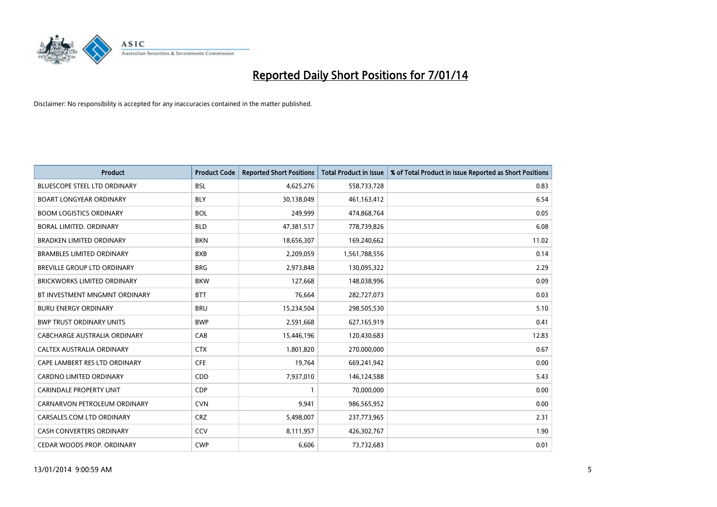

| <b>Product</b>                      | <b>Product Code</b> | <b>Reported Short Positions</b> | <b>Total Product in Issue</b> | % of Total Product in Issue Reported as Short Positions |
|-------------------------------------|---------------------|---------------------------------|-------------------------------|---------------------------------------------------------|
| <b>BLUESCOPE STEEL LTD ORDINARY</b> | <b>BSL</b>          | 4,625,276                       | 558,733,728                   | 0.83                                                    |
| <b>BOART LONGYEAR ORDINARY</b>      | BLY                 | 30,138,049                      | 461, 163, 412                 | 6.54                                                    |
| <b>BOOM LOGISTICS ORDINARY</b>      | <b>BOL</b>          | 249,999                         | 474,868,764                   | 0.05                                                    |
| BORAL LIMITED. ORDINARY             | <b>BLD</b>          | 47,381,517                      | 778,739,826                   | 6.08                                                    |
| <b>BRADKEN LIMITED ORDINARY</b>     | <b>BKN</b>          | 18,656,307                      | 169,240,662                   | 11.02                                                   |
| <b>BRAMBLES LIMITED ORDINARY</b>    | <b>BXB</b>          | 2,209,059                       | 1,561,788,556                 | 0.14                                                    |
| BREVILLE GROUP LTD ORDINARY         | <b>BRG</b>          | 2,973,848                       | 130,095,322                   | 2.29                                                    |
| BRICKWORKS LIMITED ORDINARY         | <b>BKW</b>          | 127,668                         | 148,038,996                   | 0.09                                                    |
| BT INVESTMENT MNGMNT ORDINARY       | <b>BTT</b>          | 76,664                          | 282,727,073                   | 0.03                                                    |
| <b>BURU ENERGY ORDINARY</b>         | <b>BRU</b>          | 15,234,504                      | 298,505,530                   | 5.10                                                    |
| <b>BWP TRUST ORDINARY UNITS</b>     | <b>BWP</b>          | 2,591,668                       | 627,165,919                   | 0.41                                                    |
| CABCHARGE AUSTRALIA ORDINARY        | CAB                 | 15,446,196                      | 120,430,683                   | 12.83                                                   |
| CALTEX AUSTRALIA ORDINARY           | <b>CTX</b>          | 1,801,820                       | 270,000,000                   | 0.67                                                    |
| CAPE LAMBERT RES LTD ORDINARY       | <b>CFE</b>          | 19,764                          | 669,241,942                   | 0.00                                                    |
| <b>CARDNO LIMITED ORDINARY</b>      | CDD                 | 7,937,010                       | 146,124,588                   | 5.43                                                    |
| CARINDALE PROPERTY UNIT             | <b>CDP</b>          |                                 | 70,000,000                    | 0.00                                                    |
| CARNARVON PETROLEUM ORDINARY        | <b>CVN</b>          | 9,941                           | 986,565,952                   | 0.00                                                    |
| CARSALES.COM LTD ORDINARY           | <b>CRZ</b>          | 5,498,007                       | 237,773,965                   | 2.31                                                    |
| <b>CASH CONVERTERS ORDINARY</b>     | CCV                 | 8,111,957                       | 426,302,767                   | 1.90                                                    |
| CEDAR WOODS PROP. ORDINARY          | <b>CWP</b>          | 6,606                           | 73,732,683                    | 0.01                                                    |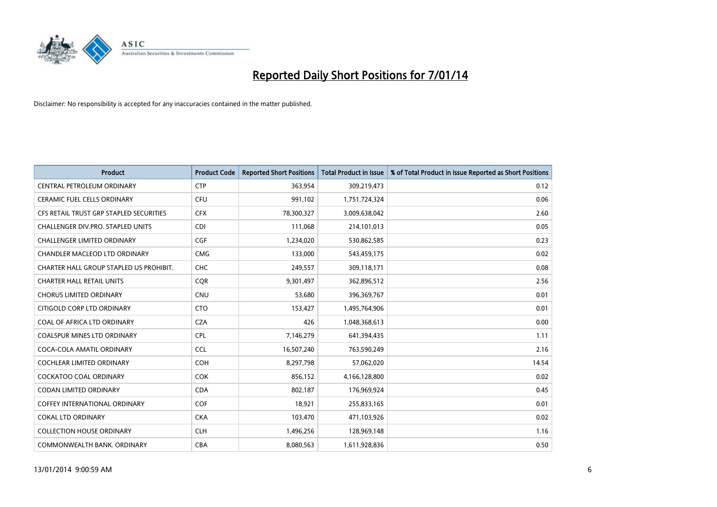

| <b>Product</b>                          | <b>Product Code</b> | <b>Reported Short Positions</b> | <b>Total Product in Issue</b> | % of Total Product in Issue Reported as Short Positions |
|-----------------------------------------|---------------------|---------------------------------|-------------------------------|---------------------------------------------------------|
| <b>CENTRAL PETROLEUM ORDINARY</b>       | <b>CTP</b>          | 363,954                         | 309,219,473                   | 0.12                                                    |
| <b>CERAMIC FUEL CELLS ORDINARY</b>      | <b>CFU</b>          | 991,102                         | 1,751,724,324                 | 0.06                                                    |
| CFS RETAIL TRUST GRP STAPLED SECURITIES | <b>CFX</b>          | 78,300,327                      | 3,009,638,042                 | 2.60                                                    |
| CHALLENGER DIV.PRO. STAPLED UNITS       | <b>CDI</b>          | 111,068                         | 214,101,013                   | 0.05                                                    |
| <b>CHALLENGER LIMITED ORDINARY</b>      | <b>CGF</b>          | 1,234,020                       | 530,862,585                   | 0.23                                                    |
| CHANDLER MACLEOD LTD ORDINARY           | <b>CMG</b>          | 133,000                         | 543,459,175                   | 0.02                                                    |
| CHARTER HALL GROUP STAPLED US PROHIBIT. | <b>CHC</b>          | 249,557                         | 309,118,171                   | 0.08                                                    |
| <b>CHARTER HALL RETAIL UNITS</b>        | <b>CQR</b>          | 9,301,497                       | 362,896,512                   | 2.56                                                    |
| <b>CHORUS LIMITED ORDINARY</b>          | <b>CNU</b>          | 53,680                          | 396,369,767                   | 0.01                                                    |
| CITIGOLD CORP LTD ORDINARY              | <b>CTO</b>          | 153,427                         | 1,495,764,906                 | 0.01                                                    |
| COAL OF AFRICA LTD ORDINARY             | <b>CZA</b>          | 426                             | 1,048,368,613                 | 0.00                                                    |
| <b>COALSPUR MINES LTD ORDINARY</b>      | <b>CPL</b>          | 7,146,279                       | 641,394,435                   | 1.11                                                    |
| COCA-COLA AMATIL ORDINARY               | <b>CCL</b>          | 16,507,240                      | 763,590,249                   | 2.16                                                    |
| <b>COCHLEAR LIMITED ORDINARY</b>        | <b>COH</b>          | 8,297,798                       | 57,062,020                    | 14.54                                                   |
| <b>COCKATOO COAL ORDINARY</b>           | <b>COK</b>          | 856,152                         | 4,166,128,800                 | 0.02                                                    |
| <b>CODAN LIMITED ORDINARY</b>           | <b>CDA</b>          | 802,187                         | 176,969,924                   | 0.45                                                    |
| <b>COFFEY INTERNATIONAL ORDINARY</b>    | <b>COF</b>          | 18,921                          | 255,833,165                   | 0.01                                                    |
| <b>COKAL LTD ORDINARY</b>               | <b>CKA</b>          | 103,470                         | 471,103,926                   | 0.02                                                    |
| <b>COLLECTION HOUSE ORDINARY</b>        | <b>CLH</b>          | 1,496,256                       | 128,969,148                   | 1.16                                                    |
| COMMONWEALTH BANK, ORDINARY             | <b>CBA</b>          | 8,080,563                       | 1,611,928,836                 | 0.50                                                    |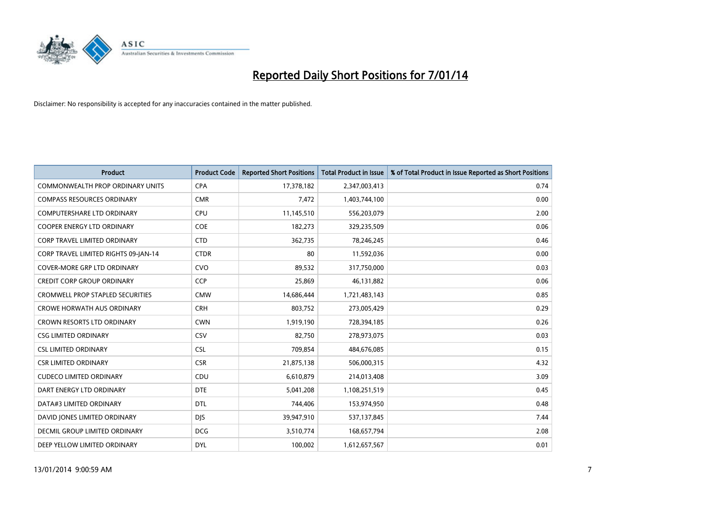

| <b>Product</b>                          | <b>Product Code</b> | <b>Reported Short Positions</b> | <b>Total Product in Issue</b> | % of Total Product in Issue Reported as Short Positions |
|-----------------------------------------|---------------------|---------------------------------|-------------------------------|---------------------------------------------------------|
| <b>COMMONWEALTH PROP ORDINARY UNITS</b> | <b>CPA</b>          | 17,378,182                      | 2,347,003,413                 | 0.74                                                    |
| <b>COMPASS RESOURCES ORDINARY</b>       | <b>CMR</b>          | 7,472                           | 1,403,744,100                 | 0.00                                                    |
| <b>COMPUTERSHARE LTD ORDINARY</b>       | <b>CPU</b>          | 11,145,510                      | 556,203,079                   | 2.00                                                    |
| <b>COOPER ENERGY LTD ORDINARY</b>       | <b>COE</b>          | 182,273                         | 329,235,509                   | 0.06                                                    |
| <b>CORP TRAVEL LIMITED ORDINARY</b>     | <b>CTD</b>          | 362,735                         | 78,246,245                    | 0.46                                                    |
| CORP TRAVEL LIMITED RIGHTS 09-JAN-14    | <b>CTDR</b>         | 80                              | 11,592,036                    | 0.00                                                    |
| <b>COVER-MORE GRP LTD ORDINARY</b>      | <b>CVO</b>          | 89,532                          | 317,750,000                   | 0.03                                                    |
| <b>CREDIT CORP GROUP ORDINARY</b>       | <b>CCP</b>          | 25,869                          | 46,131,882                    | 0.06                                                    |
| <b>CROMWELL PROP STAPLED SECURITIES</b> | <b>CMW</b>          | 14,686,444                      | 1,721,483,143                 | 0.85                                                    |
| <b>CROWE HORWATH AUS ORDINARY</b>       | <b>CRH</b>          | 803,752                         | 273,005,429                   | 0.29                                                    |
| CROWN RESORTS LTD ORDINARY              | <b>CWN</b>          | 1,919,190                       | 728,394,185                   | 0.26                                                    |
| <b>CSG LIMITED ORDINARY</b>             | CSV                 | 82,750                          | 278,973,075                   | 0.03                                                    |
| <b>CSL LIMITED ORDINARY</b>             | <b>CSL</b>          | 709,854                         | 484,676,085                   | 0.15                                                    |
| <b>CSR LIMITED ORDINARY</b>             | <b>CSR</b>          | 21,875,138                      | 506,000,315                   | 4.32                                                    |
| <b>CUDECO LIMITED ORDINARY</b>          | CDU                 | 6,610,879                       | 214,013,408                   | 3.09                                                    |
| DART ENERGY LTD ORDINARY                | <b>DTE</b>          | 5,041,208                       | 1,108,251,519                 | 0.45                                                    |
| DATA#3 LIMITED ORDINARY                 | <b>DTL</b>          | 744,406                         | 153,974,950                   | 0.48                                                    |
| DAVID JONES LIMITED ORDINARY            | <b>DJS</b>          | 39,947,910                      | 537,137,845                   | 7.44                                                    |
| <b>DECMIL GROUP LIMITED ORDINARY</b>    | <b>DCG</b>          | 3,510,774                       | 168,657,794                   | 2.08                                                    |
| DEEP YELLOW LIMITED ORDINARY            | <b>DYL</b>          | 100,002                         | 1,612,657,567                 | 0.01                                                    |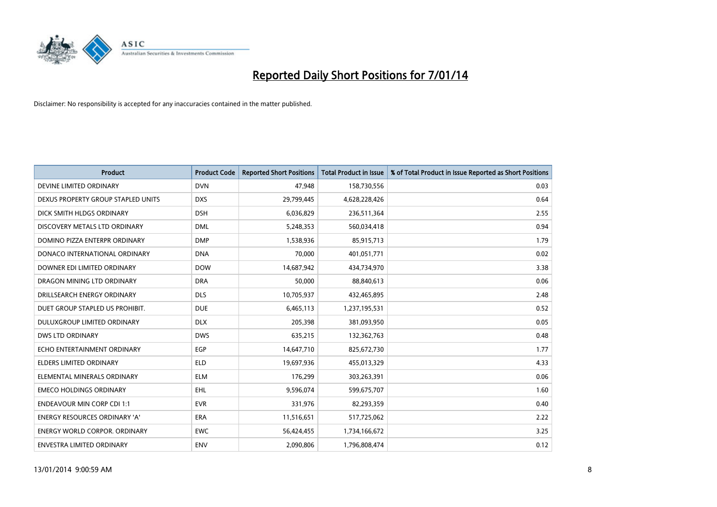

| <b>Product</b>                       | <b>Product Code</b> | <b>Reported Short Positions</b> | <b>Total Product in Issue</b> | % of Total Product in Issue Reported as Short Positions |
|--------------------------------------|---------------------|---------------------------------|-------------------------------|---------------------------------------------------------|
| DEVINE LIMITED ORDINARY              | <b>DVN</b>          | 47,948                          | 158,730,556                   | 0.03                                                    |
| DEXUS PROPERTY GROUP STAPLED UNITS   | <b>DXS</b>          | 29,799,445                      | 4,628,228,426                 | 0.64                                                    |
| DICK SMITH HLDGS ORDINARY            | <b>DSH</b>          | 6,036,829                       | 236,511,364                   | 2.55                                                    |
| DISCOVERY METALS LTD ORDINARY        | <b>DML</b>          | 5,248,353                       | 560,034,418                   | 0.94                                                    |
| DOMINO PIZZA ENTERPR ORDINARY        | <b>DMP</b>          | 1,538,936                       | 85,915,713                    | 1.79                                                    |
| DONACO INTERNATIONAL ORDINARY        | <b>DNA</b>          | 70,000                          | 401,051,771                   | 0.02                                                    |
| DOWNER EDI LIMITED ORDINARY          | <b>DOW</b>          | 14,687,942                      | 434,734,970                   | 3.38                                                    |
| DRAGON MINING LTD ORDINARY           | <b>DRA</b>          | 50,000                          | 88,840,613                    | 0.06                                                    |
| DRILLSEARCH ENERGY ORDINARY          | <b>DLS</b>          | 10,705,937                      | 432,465,895                   | 2.48                                                    |
| DUET GROUP STAPLED US PROHIBIT.      | <b>DUE</b>          | 6,465,113                       | 1,237,195,531                 | 0.52                                                    |
| DULUXGROUP LIMITED ORDINARY          | <b>DLX</b>          | 205,398                         | 381,093,950                   | 0.05                                                    |
| <b>DWS LTD ORDINARY</b>              | <b>DWS</b>          | 635,215                         | 132,362,763                   | 0.48                                                    |
| ECHO ENTERTAINMENT ORDINARY          | <b>EGP</b>          | 14,647,710                      | 825,672,730                   | 1.77                                                    |
| <b>ELDERS LIMITED ORDINARY</b>       | <b>ELD</b>          | 19,697,936                      | 455,013,329                   | 4.33                                                    |
| ELEMENTAL MINERALS ORDINARY          | <b>ELM</b>          | 176,299                         | 303,263,391                   | 0.06                                                    |
| <b>EMECO HOLDINGS ORDINARY</b>       | <b>EHL</b>          | 9,596,074                       | 599,675,707                   | 1.60                                                    |
| <b>ENDEAVOUR MIN CORP CDI 1:1</b>    | <b>EVR</b>          | 331,976                         | 82,293,359                    | 0.40                                                    |
| ENERGY RESOURCES ORDINARY 'A'        | <b>ERA</b>          | 11,516,651                      | 517,725,062                   | 2.22                                                    |
| <b>ENERGY WORLD CORPOR, ORDINARY</b> | <b>EWC</b>          | 56,424,455                      | 1,734,166,672                 | 3.25                                                    |
| ENVESTRA LIMITED ORDINARY            | ENV                 | 2,090,806                       | 1,796,808,474                 | 0.12                                                    |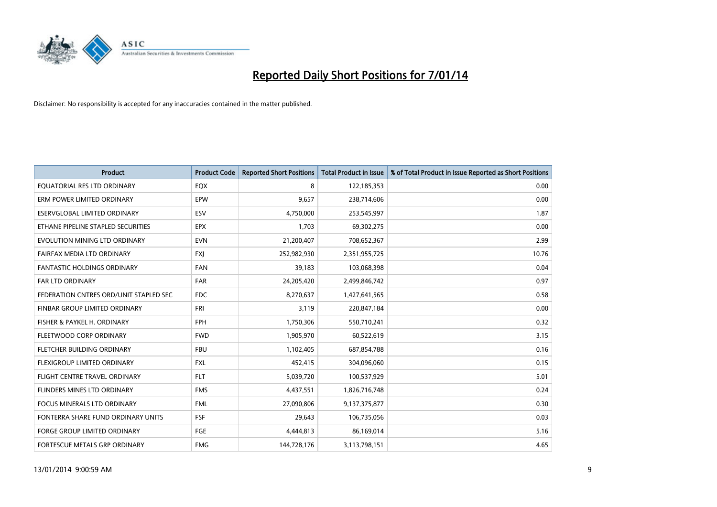

| <b>Product</b>                         | <b>Product Code</b> | <b>Reported Short Positions</b> | <b>Total Product in Issue</b> | % of Total Product in Issue Reported as Short Positions |
|----------------------------------------|---------------------|---------------------------------|-------------------------------|---------------------------------------------------------|
| EQUATORIAL RES LTD ORDINARY            | EQX                 | 8                               | 122,185,353                   | 0.00                                                    |
| ERM POWER LIMITED ORDINARY             | <b>EPW</b>          | 9,657                           | 238,714,606                   | 0.00                                                    |
| ESERVGLOBAL LIMITED ORDINARY           | ESV                 | 4,750,000                       | 253,545,997                   | 1.87                                                    |
| ETHANE PIPELINE STAPLED SECURITIES     | <b>EPX</b>          | 1,703                           | 69,302,275                    | 0.00                                                    |
| EVOLUTION MINING LTD ORDINARY          | <b>EVN</b>          | 21,200,407                      | 708,652,367                   | 2.99                                                    |
| FAIRFAX MEDIA LTD ORDINARY             | <b>FXI</b>          | 252,982,930                     | 2,351,955,725                 | 10.76                                                   |
| <b>FANTASTIC HOLDINGS ORDINARY</b>     | <b>FAN</b>          | 39,183                          | 103,068,398                   | 0.04                                                    |
| FAR LTD ORDINARY                       | <b>FAR</b>          | 24,205,420                      | 2,499,846,742                 | 0.97                                                    |
| FEDERATION CNTRES ORD/UNIT STAPLED SEC | <b>FDC</b>          | 8,270,637                       | 1,427,641,565                 | 0.58                                                    |
| FINBAR GROUP LIMITED ORDINARY          | <b>FRI</b>          | 3,119                           | 220,847,184                   | 0.00                                                    |
| FISHER & PAYKEL H. ORDINARY            | <b>FPH</b>          | 1,750,306                       | 550,710,241                   | 0.32                                                    |
| FLEETWOOD CORP ORDINARY                | <b>FWD</b>          | 1,905,970                       | 60,522,619                    | 3.15                                                    |
| FLETCHER BUILDING ORDINARY             | <b>FBU</b>          | 1,102,405                       | 687,854,788                   | 0.16                                                    |
| <b>FLEXIGROUP LIMITED ORDINARY</b>     | <b>FXL</b>          | 452,415                         | 304,096,060                   | 0.15                                                    |
| FLIGHT CENTRE TRAVEL ORDINARY          | <b>FLT</b>          | 5,039,720                       | 100,537,929                   | 5.01                                                    |
| FLINDERS MINES LTD ORDINARY            | <b>FMS</b>          | 4,437,551                       | 1,826,716,748                 | 0.24                                                    |
| FOCUS MINERALS LTD ORDINARY            | <b>FML</b>          | 27,090,806                      | 9,137,375,877                 | 0.30                                                    |
| FONTERRA SHARE FUND ORDINARY UNITS     | <b>FSF</b>          | 29,643                          | 106,735,056                   | 0.03                                                    |
| <b>FORGE GROUP LIMITED ORDINARY</b>    | FGE                 | 4,444,813                       | 86,169,014                    | 5.16                                                    |
| FORTESCUE METALS GRP ORDINARY          | <b>FMG</b>          | 144,728,176                     | 3,113,798,151                 | 4.65                                                    |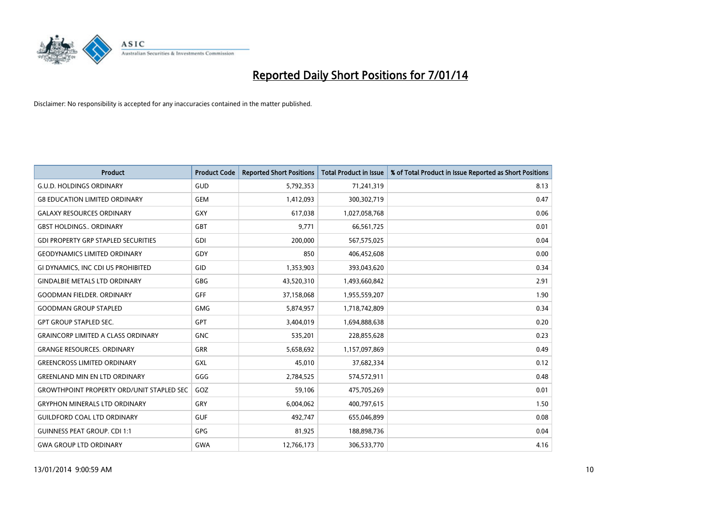

| <b>Product</b>                                   | <b>Product Code</b> | <b>Reported Short Positions</b> | <b>Total Product in Issue</b> | % of Total Product in Issue Reported as Short Positions |
|--------------------------------------------------|---------------------|---------------------------------|-------------------------------|---------------------------------------------------------|
| <b>G.U.D. HOLDINGS ORDINARY</b>                  | GUD                 | 5,792,353                       | 71,241,319                    | 8.13                                                    |
| <b>G8 EDUCATION LIMITED ORDINARY</b>             | <b>GEM</b>          | 1,412,093                       | 300,302,719                   | 0.47                                                    |
| <b>GALAXY RESOURCES ORDINARY</b>                 | GXY                 | 617,038                         | 1,027,058,768                 | 0.06                                                    |
| <b>GBST HOLDINGS., ORDINARY</b>                  | GBT                 | 9,771                           | 66,561,725                    | 0.01                                                    |
| <b>GDI PROPERTY GRP STAPLED SECURITIES</b>       | GDI                 | 200,000                         | 567,575,025                   | 0.04                                                    |
| <b>GEODYNAMICS LIMITED ORDINARY</b>              | GDY                 | 850                             | 406,452,608                   | 0.00                                                    |
| GI DYNAMICS, INC CDI US PROHIBITED               | <b>GID</b>          | 1,353,903                       | 393,043,620                   | 0.34                                                    |
| <b>GINDALBIE METALS LTD ORDINARY</b>             | <b>GBG</b>          | 43,520,310                      | 1,493,660,842                 | 2.91                                                    |
| <b>GOODMAN FIELDER, ORDINARY</b>                 | <b>GFF</b>          | 37,158,068                      | 1,955,559,207                 | 1.90                                                    |
| <b>GOODMAN GROUP STAPLED</b>                     | <b>GMG</b>          | 5,874,957                       | 1,718,742,809                 | 0.34                                                    |
| <b>GPT GROUP STAPLED SEC.</b>                    | GPT                 | 3,404,019                       | 1,694,888,638                 | 0.20                                                    |
| <b>GRAINCORP LIMITED A CLASS ORDINARY</b>        | <b>GNC</b>          | 535,201                         | 228,855,628                   | 0.23                                                    |
| <b>GRANGE RESOURCES. ORDINARY</b>                | <b>GRR</b>          | 5,658,692                       | 1,157,097,869                 | 0.49                                                    |
| <b>GREENCROSS LIMITED ORDINARY</b>               | GXL                 | 45,010                          | 37,682,334                    | 0.12                                                    |
| <b>GREENLAND MIN EN LTD ORDINARY</b>             | GGG                 | 2,784,525                       | 574,572,911                   | 0.48                                                    |
| <b>GROWTHPOINT PROPERTY ORD/UNIT STAPLED SEC</b> | GOZ                 | 59,106                          | 475,705,269                   | 0.01                                                    |
| <b>GRYPHON MINERALS LTD ORDINARY</b>             | GRY                 | 6,004,062                       | 400,797,615                   | 1.50                                                    |
| <b>GUILDFORD COAL LTD ORDINARY</b>               | <b>GUF</b>          | 492.747                         | 655,046,899                   | 0.08                                                    |
| <b>GUINNESS PEAT GROUP. CDI 1:1</b>              | <b>GPG</b>          | 81,925                          | 188,898,736                   | 0.04                                                    |
| <b>GWA GROUP LTD ORDINARY</b>                    | <b>GWA</b>          | 12,766,173                      | 306,533,770                   | 4.16                                                    |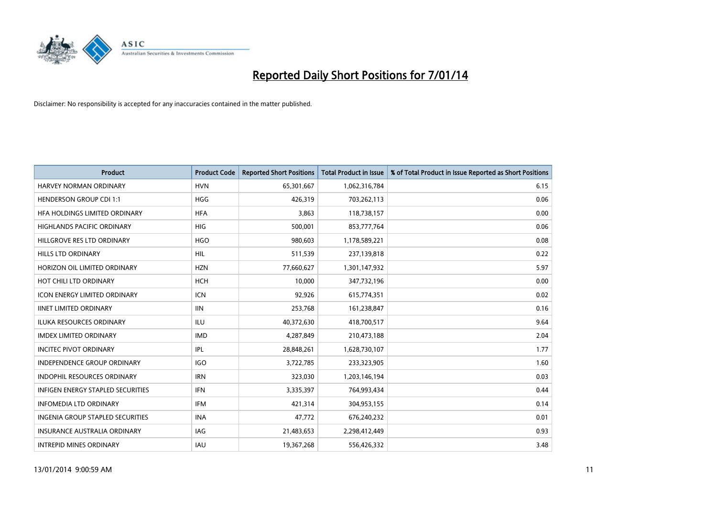

| Product                                  | <b>Product Code</b> | <b>Reported Short Positions</b> | <b>Total Product in Issue</b> | % of Total Product in Issue Reported as Short Positions |
|------------------------------------------|---------------------|---------------------------------|-------------------------------|---------------------------------------------------------|
| <b>HARVEY NORMAN ORDINARY</b>            | <b>HVN</b>          | 65,301,667                      | 1,062,316,784                 | 6.15                                                    |
| <b>HENDERSON GROUP CDI 1:1</b>           | <b>HGG</b>          | 426,319                         | 703,262,113                   | 0.06                                                    |
| HFA HOLDINGS LIMITED ORDINARY            | <b>HFA</b>          | 3,863                           | 118,738,157                   | 0.00                                                    |
| HIGHLANDS PACIFIC ORDINARY               | <b>HIG</b>          | 500,001                         | 853,777,764                   | 0.06                                                    |
| HILLGROVE RES LTD ORDINARY               | <b>HGO</b>          | 980,603                         | 1,178,589,221                 | 0.08                                                    |
| <b>HILLS LTD ORDINARY</b>                | <b>HIL</b>          | 511,539                         | 237,139,818                   | 0.22                                                    |
| HORIZON OIL LIMITED ORDINARY             | <b>HZN</b>          | 77,660,627                      | 1,301,147,932                 | 5.97                                                    |
| HOT CHILI LTD ORDINARY                   | <b>HCH</b>          | 10,000                          | 347,732,196                   | 0.00                                                    |
| <b>ICON ENERGY LIMITED ORDINARY</b>      | ICN                 | 92,926                          | 615,774,351                   | 0.02                                                    |
| <b>IINET LIMITED ORDINARY</b>            | <b>IIN</b>          | 253,768                         | 161,238,847                   | 0.16                                                    |
| <b>ILUKA RESOURCES ORDINARY</b>          | <b>ILU</b>          | 40,372,630                      | 418,700,517                   | 9.64                                                    |
| <b>IMDEX LIMITED ORDINARY</b>            | <b>IMD</b>          | 4,287,849                       | 210,473,188                   | 2.04                                                    |
| <b>INCITEC PIVOT ORDINARY</b>            | IPL                 | 28,848,261                      | 1,628,730,107                 | 1.77                                                    |
| <b>INDEPENDENCE GROUP ORDINARY</b>       | <b>IGO</b>          | 3,722,785                       | 233,323,905                   | 1.60                                                    |
| <b>INDOPHIL RESOURCES ORDINARY</b>       | <b>IRN</b>          | 323,030                         | 1,203,146,194                 | 0.03                                                    |
| <b>INFIGEN ENERGY STAPLED SECURITIES</b> | <b>IFN</b>          | 3,335,397                       | 764,993,434                   | 0.44                                                    |
| <b>INFOMEDIA LTD ORDINARY</b>            | IFM                 | 421,314                         | 304,953,155                   | 0.14                                                    |
| INGENIA GROUP STAPLED SECURITIES         | <b>INA</b>          | 47,772                          | 676,240,232                   | 0.01                                                    |
| <b>INSURANCE AUSTRALIA ORDINARY</b>      | <b>IAG</b>          | 21,483,653                      | 2,298,412,449                 | 0.93                                                    |
| <b>INTREPID MINES ORDINARY</b>           | <b>IAU</b>          | 19,367,268                      | 556,426,332                   | 3.48                                                    |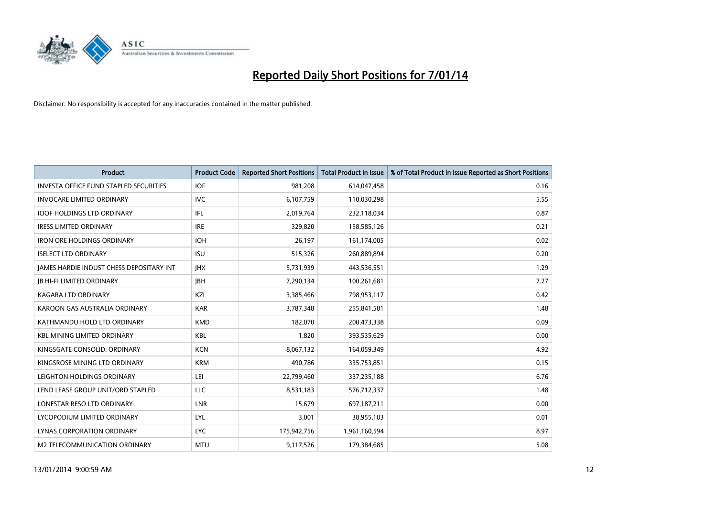

| <b>Product</b>                                | <b>Product Code</b> | <b>Reported Short Positions</b> | <b>Total Product in Issue</b> | % of Total Product in Issue Reported as Short Positions |
|-----------------------------------------------|---------------------|---------------------------------|-------------------------------|---------------------------------------------------------|
| <b>INVESTA OFFICE FUND STAPLED SECURITIES</b> | <b>IOF</b>          | 981,208                         | 614,047,458                   | 0.16                                                    |
| <b>INVOCARE LIMITED ORDINARY</b>              | IVC                 | 6,107,759                       | 110,030,298                   | 5.55                                                    |
| <b>IOOF HOLDINGS LTD ORDINARY</b>             | IFL                 | 2,019,764                       | 232,118,034                   | 0.87                                                    |
| <b>IRESS LIMITED ORDINARY</b>                 | <b>IRE</b>          | 329,820                         | 158,585,126                   | 0.21                                                    |
| <b>IRON ORE HOLDINGS ORDINARY</b>             | <b>IOH</b>          | 26,197                          | 161,174,005                   | 0.02                                                    |
| <b>ISELECT LTD ORDINARY</b>                   | <b>ISU</b>          | 515,326                         | 260,889,894                   | 0.20                                                    |
| JAMES HARDIE INDUST CHESS DEPOSITARY INT      | <b>IHX</b>          | 5,731,939                       | 443,536,551                   | 1.29                                                    |
| <b>JB HI-FI LIMITED ORDINARY</b>              | <b>JBH</b>          | 7,290,134                       | 100,261,681                   | 7.27                                                    |
| <b>KAGARA LTD ORDINARY</b>                    | KZL                 | 3,385,466                       | 798,953,117                   | 0.42                                                    |
| KAROON GAS AUSTRALIA ORDINARY                 | <b>KAR</b>          | 3,787,348                       | 255,841,581                   | 1.48                                                    |
| KATHMANDU HOLD LTD ORDINARY                   | <b>KMD</b>          | 182,070                         | 200,473,338                   | 0.09                                                    |
| <b>KBL MINING LIMITED ORDINARY</b>            | <b>KBL</b>          | 1,820                           | 393,535,629                   | 0.00                                                    |
| KINGSGATE CONSOLID. ORDINARY                  | <b>KCN</b>          | 8,067,132                       | 164,059,349                   | 4.92                                                    |
| KINGSROSE MINING LTD ORDINARY                 | <b>KRM</b>          | 490,786                         | 335,753,851                   | 0.15                                                    |
| LEIGHTON HOLDINGS ORDINARY                    | LEI                 | 22,799,460                      | 337,235,188                   | 6.76                                                    |
| LEND LEASE GROUP UNIT/ORD STAPLED             | LLC                 | 8,531,183                       | 576,712,337                   | 1.48                                                    |
| LONESTAR RESO LTD ORDINARY                    | LNR                 | 15,679                          | 697,187,211                   | 0.00                                                    |
| LYCOPODIUM LIMITED ORDINARY                   | <b>LYL</b>          | 3,001                           | 38,955,103                    | 0.01                                                    |
| LYNAS CORPORATION ORDINARY                    | <b>LYC</b>          | 175,942,756                     | 1,961,160,594                 | 8.97                                                    |
| M2 TELECOMMUNICATION ORDINARY                 | <b>MTU</b>          | 9,117,526                       | 179,384,685                   | 5.08                                                    |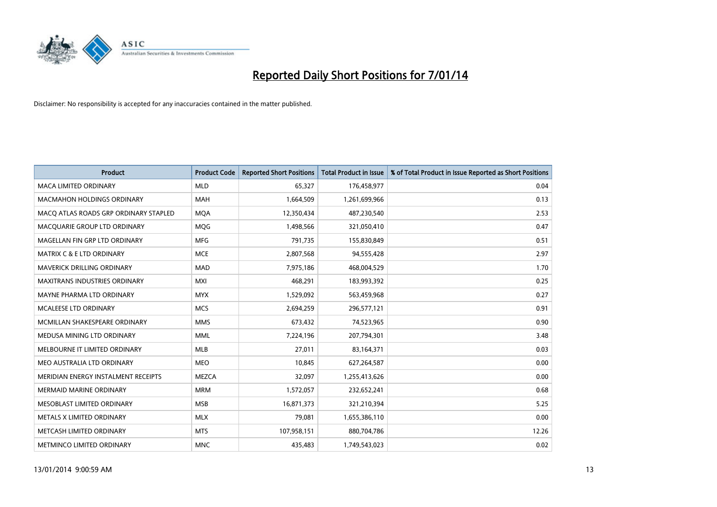

| <b>Product</b>                        | <b>Product Code</b> | <b>Reported Short Positions</b> | <b>Total Product in Issue</b> | % of Total Product in Issue Reported as Short Positions |
|---------------------------------------|---------------------|---------------------------------|-------------------------------|---------------------------------------------------------|
| <b>MACA LIMITED ORDINARY</b>          | <b>MLD</b>          | 65,327                          | 176,458,977                   | 0.04                                                    |
| <b>MACMAHON HOLDINGS ORDINARY</b>     | <b>MAH</b>          | 1,664,509                       | 1,261,699,966                 | 0.13                                                    |
| MACO ATLAS ROADS GRP ORDINARY STAPLED | <b>MOA</b>          | 12,350,434                      | 487,230,540                   | 2.53                                                    |
| MACQUARIE GROUP LTD ORDINARY          | <b>MOG</b>          | 1,498,566                       | 321,050,410                   | 0.47                                                    |
| MAGELLAN FIN GRP LTD ORDINARY         | <b>MFG</b>          | 791,735                         | 155,830,849                   | 0.51                                                    |
| <b>MATRIX C &amp; E LTD ORDINARY</b>  | <b>MCE</b>          | 2,807,568                       | 94,555,428                    | 2.97                                                    |
| MAVERICK DRILLING ORDINARY            | <b>MAD</b>          | 7,975,186                       | 468,004,529                   | 1.70                                                    |
| MAXITRANS INDUSTRIES ORDINARY         | <b>MXI</b>          | 468,291                         | 183,993,392                   | 0.25                                                    |
| MAYNE PHARMA LTD ORDINARY             | <b>MYX</b>          | 1,529,092                       | 563,459,968                   | 0.27                                                    |
| MCALEESE LTD ORDINARY                 | <b>MCS</b>          | 2,694,259                       | 296,577,121                   | 0.91                                                    |
| MCMILLAN SHAKESPEARE ORDINARY         | <b>MMS</b>          | 673,432                         | 74,523,965                    | 0.90                                                    |
| MEDUSA MINING LTD ORDINARY            | <b>MML</b>          | 7,224,196                       | 207,794,301                   | 3.48                                                    |
| MELBOURNE IT LIMITED ORDINARY         | <b>MLB</b>          | 27,011                          | 83,164,371                    | 0.03                                                    |
| MEO AUSTRALIA LTD ORDINARY            | <b>MEO</b>          | 10,845                          | 627,264,587                   | 0.00                                                    |
| MERIDIAN ENERGY INSTALMENT RECEIPTS   | <b>MEZCA</b>        | 32,097                          | 1,255,413,626                 | 0.00                                                    |
| MERMAID MARINE ORDINARY               | <b>MRM</b>          | 1,572,057                       | 232,652,241                   | 0.68                                                    |
| MESOBLAST LIMITED ORDINARY            | <b>MSB</b>          | 16,871,373                      | 321,210,394                   | 5.25                                                    |
| METALS X LIMITED ORDINARY             | <b>MLX</b>          | 79,081                          | 1,655,386,110                 | 0.00                                                    |
| METCASH LIMITED ORDINARY              | <b>MTS</b>          | 107,958,151                     | 880,704,786                   | 12.26                                                   |
| METMINCO LIMITED ORDINARY             | <b>MNC</b>          | 435,483                         | 1,749,543,023                 | 0.02                                                    |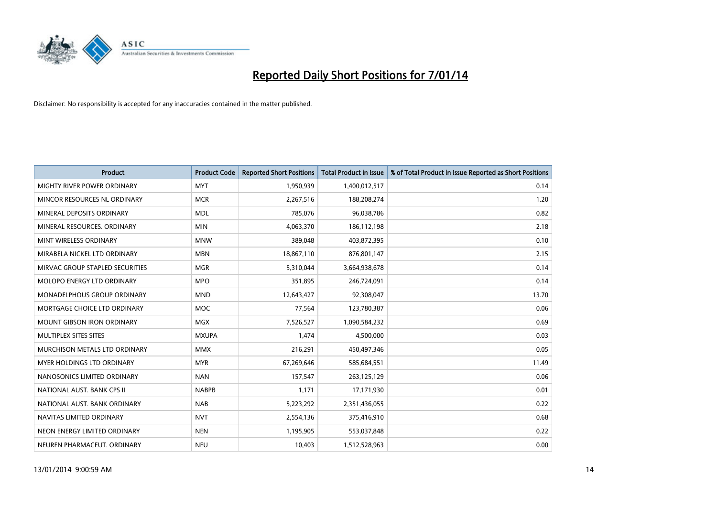

| <b>Product</b>                    | <b>Product Code</b> | <b>Reported Short Positions</b> | <b>Total Product in Issue</b> | % of Total Product in Issue Reported as Short Positions |
|-----------------------------------|---------------------|---------------------------------|-------------------------------|---------------------------------------------------------|
| MIGHTY RIVER POWER ORDINARY       | <b>MYT</b>          | 1,950,939                       | 1,400,012,517                 | 0.14                                                    |
| MINCOR RESOURCES NL ORDINARY      | <b>MCR</b>          | 2,267,516                       | 188,208,274                   | 1.20                                                    |
| MINERAL DEPOSITS ORDINARY         | <b>MDL</b>          | 785,076                         | 96,038,786                    | 0.82                                                    |
| MINERAL RESOURCES, ORDINARY       | <b>MIN</b>          | 4,063,370                       | 186,112,198                   | 2.18                                                    |
| MINT WIRELESS ORDINARY            | <b>MNW</b>          | 389,048                         | 403,872,395                   | 0.10                                                    |
| MIRABELA NICKEL LTD ORDINARY      | <b>MBN</b>          | 18,867,110                      | 876,801,147                   | 2.15                                                    |
| MIRVAC GROUP STAPLED SECURITIES   | <b>MGR</b>          | 5,310,044                       | 3,664,938,678                 | 0.14                                                    |
| MOLOPO ENERGY LTD ORDINARY        | <b>MPO</b>          | 351,895                         | 246,724,091                   | 0.14                                                    |
| MONADELPHOUS GROUP ORDINARY       | <b>MND</b>          | 12,643,427                      | 92,308,047                    | 13.70                                                   |
| MORTGAGE CHOICE LTD ORDINARY      | <b>MOC</b>          | 77,564                          | 123,780,387                   | 0.06                                                    |
| <b>MOUNT GIBSON IRON ORDINARY</b> | <b>MGX</b>          | 7,526,527                       | 1,090,584,232                 | 0.69                                                    |
| MULTIPLEX SITES SITES             | <b>MXUPA</b>        | 1,474                           | 4,500,000                     | 0.03                                                    |
| MURCHISON METALS LTD ORDINARY     | <b>MMX</b>          | 216,291                         | 450,497,346                   | 0.05                                                    |
| <b>MYER HOLDINGS LTD ORDINARY</b> | <b>MYR</b>          | 67,269,646                      | 585,684,551                   | 11.49                                                   |
| NANOSONICS LIMITED ORDINARY       | <b>NAN</b>          | 157,547                         | 263,125,129                   | 0.06                                                    |
| NATIONAL AUST. BANK CPS II        | <b>NABPB</b>        | 1,171                           | 17,171,930                    | 0.01                                                    |
| NATIONAL AUST. BANK ORDINARY      | <b>NAB</b>          | 5,223,292                       | 2,351,436,055                 | 0.22                                                    |
| NAVITAS LIMITED ORDINARY          | <b>NVT</b>          | 2,554,136                       | 375,416,910                   | 0.68                                                    |
| NEON ENERGY LIMITED ORDINARY      | <b>NEN</b>          | 1,195,905                       | 553,037,848                   | 0.22                                                    |
| NEUREN PHARMACEUT, ORDINARY       | <b>NEU</b>          | 10,403                          | 1,512,528,963                 | 0.00                                                    |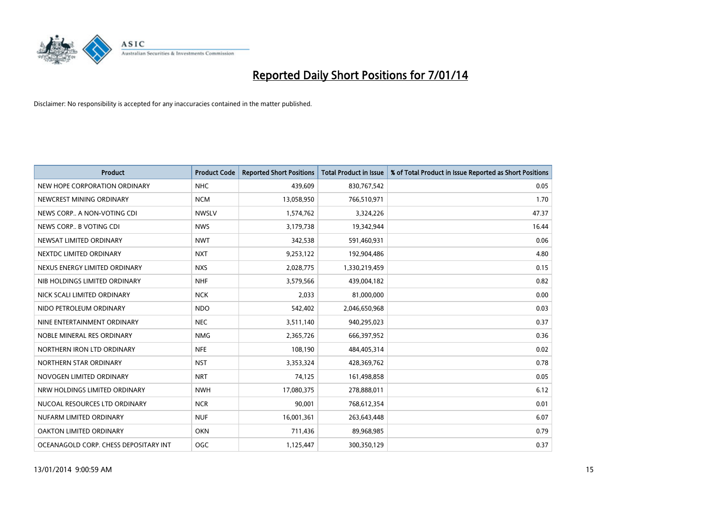

| <b>Product</b>                        | <b>Product Code</b> | <b>Reported Short Positions</b> | <b>Total Product in Issue</b> | % of Total Product in Issue Reported as Short Positions |
|---------------------------------------|---------------------|---------------------------------|-------------------------------|---------------------------------------------------------|
| NEW HOPE CORPORATION ORDINARY         | <b>NHC</b>          | 439,609                         | 830,767,542                   | 0.05                                                    |
| NEWCREST MINING ORDINARY              | <b>NCM</b>          | 13,058,950                      | 766,510,971                   | 1.70                                                    |
| NEWS CORP A NON-VOTING CDI            | <b>NWSLV</b>        | 1,574,762                       | 3,324,226                     | 47.37                                                   |
| NEWS CORP B VOTING CDI                | <b>NWS</b>          | 3,179,738                       | 19,342,944                    | 16.44                                                   |
| NEWSAT LIMITED ORDINARY               | <b>NWT</b>          | 342,538                         | 591,460,931                   | 0.06                                                    |
| NEXTDC LIMITED ORDINARY               | <b>NXT</b>          | 9,253,122                       | 192,904,486                   | 4.80                                                    |
| NEXUS ENERGY LIMITED ORDINARY         | <b>NXS</b>          | 2,028,775                       | 1,330,219,459                 | 0.15                                                    |
| NIB HOLDINGS LIMITED ORDINARY         | <b>NHF</b>          | 3,579,566                       | 439,004,182                   | 0.82                                                    |
| NICK SCALI LIMITED ORDINARY           | <b>NCK</b>          | 2,033                           | 81,000,000                    | 0.00                                                    |
| NIDO PETROLEUM ORDINARY               | <b>NDO</b>          | 542,402                         | 2,046,650,968                 | 0.03                                                    |
| NINE ENTERTAINMENT ORDINARY           | <b>NEC</b>          | 3,511,140                       | 940,295,023                   | 0.37                                                    |
| NOBLE MINERAL RES ORDINARY            | <b>NMG</b>          | 2,365,726                       | 666,397,952                   | 0.36                                                    |
| NORTHERN IRON LTD ORDINARY            | <b>NFE</b>          | 108,190                         | 484,405,314                   | 0.02                                                    |
| NORTHERN STAR ORDINARY                | <b>NST</b>          | 3,353,324                       | 428,369,762                   | 0.78                                                    |
| NOVOGEN LIMITED ORDINARY              | <b>NRT</b>          | 74,125                          | 161,498,858                   | 0.05                                                    |
| NRW HOLDINGS LIMITED ORDINARY         | <b>NWH</b>          | 17,080,375                      | 278,888,011                   | 6.12                                                    |
| NUCOAL RESOURCES LTD ORDINARY         | <b>NCR</b>          | 90,001                          | 768,612,354                   | 0.01                                                    |
| NUFARM LIMITED ORDINARY               | <b>NUF</b>          | 16,001,361                      | 263,643,448                   | 6.07                                                    |
| <b>OAKTON LIMITED ORDINARY</b>        | <b>OKN</b>          | 711,436                         | 89,968,985                    | 0.79                                                    |
| OCEANAGOLD CORP. CHESS DEPOSITARY INT | OGC                 | 1,125,447                       | 300,350,129                   | 0.37                                                    |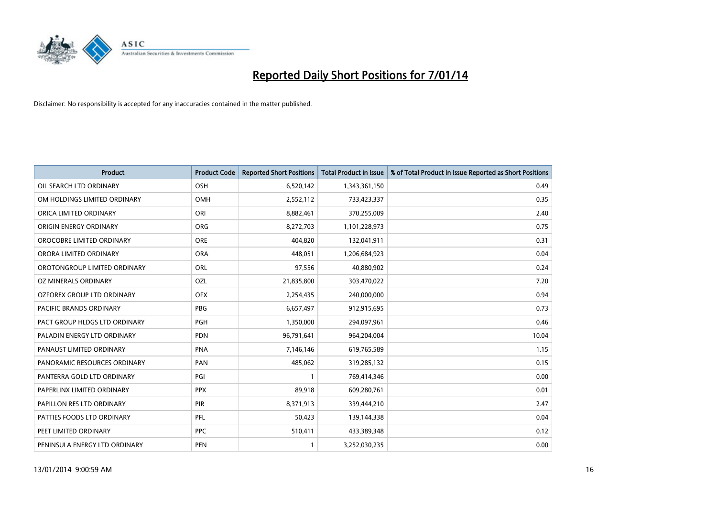

| <b>Product</b>                 | <b>Product Code</b> | <b>Reported Short Positions</b> | <b>Total Product in Issue</b> | % of Total Product in Issue Reported as Short Positions |
|--------------------------------|---------------------|---------------------------------|-------------------------------|---------------------------------------------------------|
| OIL SEARCH LTD ORDINARY        | OSH                 | 6,520,142                       | 1,343,361,150                 | 0.49                                                    |
| OM HOLDINGS LIMITED ORDINARY   | OMH                 | 2,552,112                       | 733,423,337                   | 0.35                                                    |
| ORICA LIMITED ORDINARY         | ORI                 | 8,882,461                       | 370,255,009                   | 2.40                                                    |
| ORIGIN ENERGY ORDINARY         | <b>ORG</b>          | 8,272,703                       | 1,101,228,973                 | 0.75                                                    |
| OROCOBRE LIMITED ORDINARY      | <b>ORE</b>          | 404,820                         | 132,041,911                   | 0.31                                                    |
| ORORA LIMITED ORDINARY         | <b>ORA</b>          | 448,051                         | 1,206,684,923                 | 0.04                                                    |
| OROTONGROUP LIMITED ORDINARY   | ORL                 | 97,556                          | 40,880,902                    | 0.24                                                    |
| OZ MINERALS ORDINARY           | OZL                 | 21,835,800                      | 303,470,022                   | 7.20                                                    |
| OZFOREX GROUP LTD ORDINARY     | <b>OFX</b>          | 2,254,435                       | 240,000,000                   | 0.94                                                    |
| <b>PACIFIC BRANDS ORDINARY</b> | <b>PBG</b>          | 6,657,497                       | 912,915,695                   | 0.73                                                    |
| PACT GROUP HLDGS LTD ORDINARY  | <b>PGH</b>          | 1,350,000                       | 294,097,961                   | 0.46                                                    |
| PALADIN ENERGY LTD ORDINARY    | <b>PDN</b>          | 96,791,641                      | 964,204,004                   | 10.04                                                   |
| PANAUST LIMITED ORDINARY       | <b>PNA</b>          | 7,146,146                       | 619,765,589                   | 1.15                                                    |
| PANORAMIC RESOURCES ORDINARY   | PAN                 | 485,062                         | 319,285,132                   | 0.15                                                    |
| PANTERRA GOLD LTD ORDINARY     | PGI                 | $\mathbf{1}$                    | 769,414,346                   | 0.00                                                    |
| PAPERLINX LIMITED ORDINARY     | <b>PPX</b>          | 89,918                          | 609,280,761                   | 0.01                                                    |
| PAPILLON RES LTD ORDINARY      | PIR                 | 8,371,913                       | 339,444,210                   | 2.47                                                    |
| PATTIES FOODS LTD ORDINARY     | <b>PFL</b>          | 50,423                          | 139,144,338                   | 0.04                                                    |
| PEET LIMITED ORDINARY          | <b>PPC</b>          | 510,411                         | 433,389,348                   | 0.12                                                    |
| PENINSULA ENERGY LTD ORDINARY  | <b>PEN</b>          | $\mathbf{1}$                    | 3,252,030,235                 | 0.00                                                    |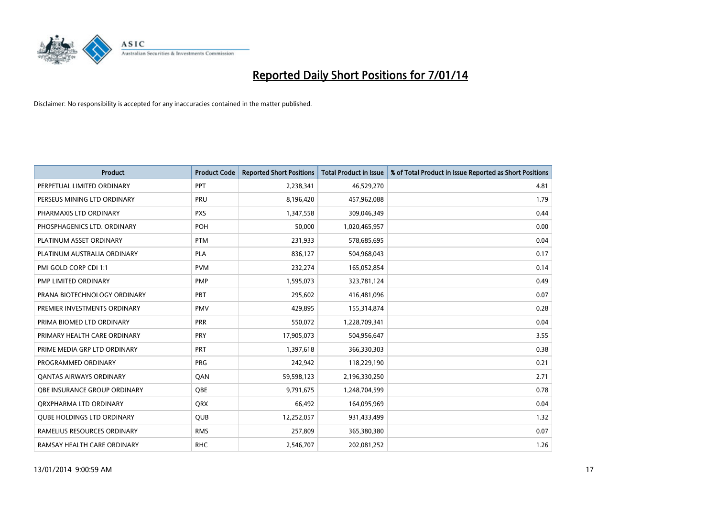

| <b>Product</b>                    | <b>Product Code</b> | <b>Reported Short Positions</b> | <b>Total Product in Issue</b> | % of Total Product in Issue Reported as Short Positions |
|-----------------------------------|---------------------|---------------------------------|-------------------------------|---------------------------------------------------------|
| PERPETUAL LIMITED ORDINARY        | PPT                 | 2,238,341                       | 46,529,270                    | 4.81                                                    |
| PERSEUS MINING LTD ORDINARY       | <b>PRU</b>          | 8,196,420                       | 457,962,088                   | 1.79                                                    |
| PHARMAXIS LTD ORDINARY            | <b>PXS</b>          | 1,347,558                       | 309,046,349                   | 0.44                                                    |
| PHOSPHAGENICS LTD. ORDINARY       | <b>POH</b>          | 50,000                          | 1,020,465,957                 | 0.00                                                    |
| PLATINUM ASSET ORDINARY           | <b>PTM</b>          | 231,933                         | 578,685,695                   | 0.04                                                    |
| PLATINUM AUSTRALIA ORDINARY       | <b>PLA</b>          | 836,127                         | 504,968,043                   | 0.17                                                    |
| PMI GOLD CORP CDI 1:1             | <b>PVM</b>          | 232,274                         | 165,052,854                   | 0.14                                                    |
| PMP LIMITED ORDINARY              | <b>PMP</b>          | 1,595,073                       | 323,781,124                   | 0.49                                                    |
| PRANA BIOTECHNOLOGY ORDINARY      | <b>PBT</b>          | 295,602                         | 416,481,096                   | 0.07                                                    |
| PREMIER INVESTMENTS ORDINARY      | <b>PMV</b>          | 429,895                         | 155,314,874                   | 0.28                                                    |
| PRIMA BIOMED LTD ORDINARY         | <b>PRR</b>          | 550,072                         | 1,228,709,341                 | 0.04                                                    |
| PRIMARY HEALTH CARE ORDINARY      | <b>PRY</b>          | 17,905,073                      | 504,956,647                   | 3.55                                                    |
| PRIME MEDIA GRP LTD ORDINARY      | <b>PRT</b>          | 1,397,618                       | 366,330,303                   | 0.38                                                    |
| PROGRAMMED ORDINARY               | <b>PRG</b>          | 242,942                         | 118,229,190                   | 0.21                                                    |
| <b>QANTAS AIRWAYS ORDINARY</b>    | QAN                 | 59,598,123                      | 2,196,330,250                 | 2.71                                                    |
| OBE INSURANCE GROUP ORDINARY      | QBE                 | 9,791,675                       | 1,248,704,599                 | 0.78                                                    |
| ORXPHARMA LTD ORDINARY            | QRX                 | 66,492                          | 164,095,969                   | 0.04                                                    |
| <b>QUBE HOLDINGS LTD ORDINARY</b> | <b>QUB</b>          | 12,252,057                      | 931,433,499                   | 1.32                                                    |
| RAMELIUS RESOURCES ORDINARY       | <b>RMS</b>          | 257,809                         | 365,380,380                   | 0.07                                                    |
| RAMSAY HEALTH CARE ORDINARY       | <b>RHC</b>          | 2,546,707                       | 202,081,252                   | 1.26                                                    |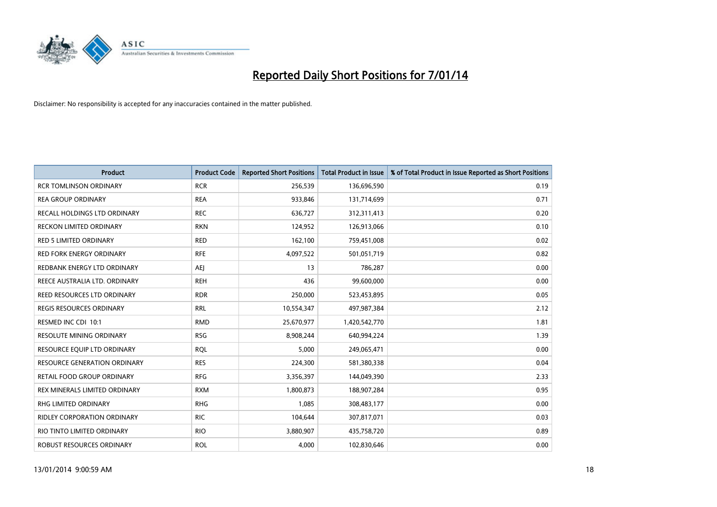

| <b>Product</b>                      | <b>Product Code</b> | <b>Reported Short Positions</b> | <b>Total Product in Issue</b> | % of Total Product in Issue Reported as Short Positions |
|-------------------------------------|---------------------|---------------------------------|-------------------------------|---------------------------------------------------------|
| <b>RCR TOMLINSON ORDINARY</b>       | <b>RCR</b>          | 256,539                         | 136,696,590                   | 0.19                                                    |
| <b>REA GROUP ORDINARY</b>           | <b>REA</b>          | 933,846                         | 131,714,699                   | 0.71                                                    |
| RECALL HOLDINGS LTD ORDINARY        | <b>REC</b>          | 636,727                         | 312,311,413                   | 0.20                                                    |
| RECKON LIMITED ORDINARY             | <b>RKN</b>          | 124,952                         | 126,913,066                   | 0.10                                                    |
| <b>RED 5 LIMITED ORDINARY</b>       | <b>RED</b>          | 162,100                         | 759,451,008                   | 0.02                                                    |
| <b>RED FORK ENERGY ORDINARY</b>     | <b>RFE</b>          | 4,097,522                       | 501,051,719                   | 0.82                                                    |
| REDBANK ENERGY LTD ORDINARY         | AEJ                 | 13                              | 786,287                       | 0.00                                                    |
| REECE AUSTRALIA LTD. ORDINARY       | <b>REH</b>          | 436                             | 99,600,000                    | 0.00                                                    |
| REED RESOURCES LTD ORDINARY         | <b>RDR</b>          | 250,000                         | 523,453,895                   | 0.05                                                    |
| <b>REGIS RESOURCES ORDINARY</b>     | <b>RRL</b>          | 10,554,347                      | 497,987,384                   | 2.12                                                    |
| RESMED INC CDI 10:1                 | <b>RMD</b>          | 25,670,977                      | 1,420,542,770                 | 1.81                                                    |
| <b>RESOLUTE MINING ORDINARY</b>     | <b>RSG</b>          | 8,908,244                       | 640,994,224                   | 1.39                                                    |
| RESOURCE EQUIP LTD ORDINARY         | <b>ROL</b>          | 5,000                           | 249,065,471                   | 0.00                                                    |
| <b>RESOURCE GENERATION ORDINARY</b> | <b>RES</b>          | 224,300                         | 581,380,338                   | 0.04                                                    |
| <b>RETAIL FOOD GROUP ORDINARY</b>   | <b>RFG</b>          | 3,356,397                       | 144,049,390                   | 2.33                                                    |
| REX MINERALS LIMITED ORDINARY       | <b>RXM</b>          | 1,800,873                       | 188,907,284                   | 0.95                                                    |
| RHG LIMITED ORDINARY                | <b>RHG</b>          | 1,085                           | 308,483,177                   | 0.00                                                    |
| RIDLEY CORPORATION ORDINARY         | RIC.                | 104,644                         | 307,817,071                   | 0.03                                                    |
| RIO TINTO LIMITED ORDINARY          | <b>RIO</b>          | 3,880,907                       | 435,758,720                   | 0.89                                                    |
| ROBUST RESOURCES ORDINARY           | <b>ROL</b>          | 4,000                           | 102,830,646                   | 0.00                                                    |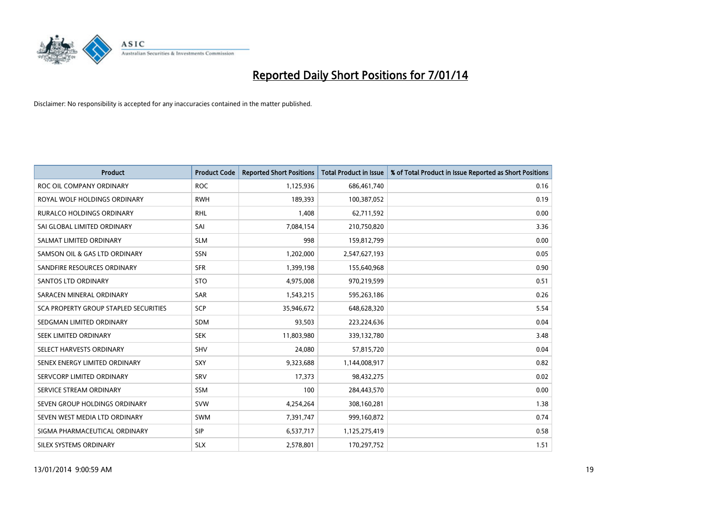

| <b>Product</b>                        | <b>Product Code</b> | <b>Reported Short Positions</b> | <b>Total Product in Issue</b> | % of Total Product in Issue Reported as Short Positions |
|---------------------------------------|---------------------|---------------------------------|-------------------------------|---------------------------------------------------------|
| ROC OIL COMPANY ORDINARY              | <b>ROC</b>          | 1,125,936                       | 686,461,740                   | 0.16                                                    |
| ROYAL WOLF HOLDINGS ORDINARY          | <b>RWH</b>          | 189,393                         | 100,387,052                   | 0.19                                                    |
| <b>RURALCO HOLDINGS ORDINARY</b>      | <b>RHL</b>          | 1,408                           | 62,711,592                    | 0.00                                                    |
| SAI GLOBAL LIMITED ORDINARY           | SAI                 | 7,084,154                       | 210,750,820                   | 3.36                                                    |
| SALMAT LIMITED ORDINARY               | <b>SLM</b>          | 998                             | 159,812,799                   | 0.00                                                    |
| SAMSON OIL & GAS LTD ORDINARY         | SSN                 | 1,202,000                       | 2,547,627,193                 | 0.05                                                    |
| SANDFIRE RESOURCES ORDINARY           | <b>SFR</b>          | 1,399,198                       | 155,640,968                   | 0.90                                                    |
| <b>SANTOS LTD ORDINARY</b>            | <b>STO</b>          | 4,975,008                       | 970,219,599                   | 0.51                                                    |
| SARACEN MINERAL ORDINARY              | <b>SAR</b>          | 1,543,215                       | 595,263,186                   | 0.26                                                    |
| SCA PROPERTY GROUP STAPLED SECURITIES | <b>SCP</b>          | 35,946,672                      | 648,628,320                   | 5.54                                                    |
| SEDGMAN LIMITED ORDINARY              | SDM                 | 93,503                          | 223,224,636                   | 0.04                                                    |
| SEEK LIMITED ORDINARY                 | <b>SEK</b>          | 11,803,980                      | 339,132,780                   | 3.48                                                    |
| SELECT HARVESTS ORDINARY              | <b>SHV</b>          | 24,080                          | 57,815,720                    | 0.04                                                    |
| SENEX ENERGY LIMITED ORDINARY         | <b>SXY</b>          | 9,323,688                       | 1,144,008,917                 | 0.82                                                    |
| SERVCORP LIMITED ORDINARY             | SRV                 | 17,373                          | 98,432,275                    | 0.02                                                    |
| SERVICE STREAM ORDINARY               | SSM                 | 100                             | 284,443,570                   | 0.00                                                    |
| SEVEN GROUP HOLDINGS ORDINARY         | <b>SVW</b>          | 4,254,264                       | 308,160,281                   | 1.38                                                    |
| SEVEN WEST MEDIA LTD ORDINARY         | <b>SWM</b>          | 7,391,747                       | 999,160,872                   | 0.74                                                    |
| SIGMA PHARMACEUTICAL ORDINARY         | <b>SIP</b>          | 6,537,717                       | 1,125,275,419                 | 0.58                                                    |
| SILEX SYSTEMS ORDINARY                | <b>SLX</b>          | 2,578,801                       | 170,297,752                   | 1.51                                                    |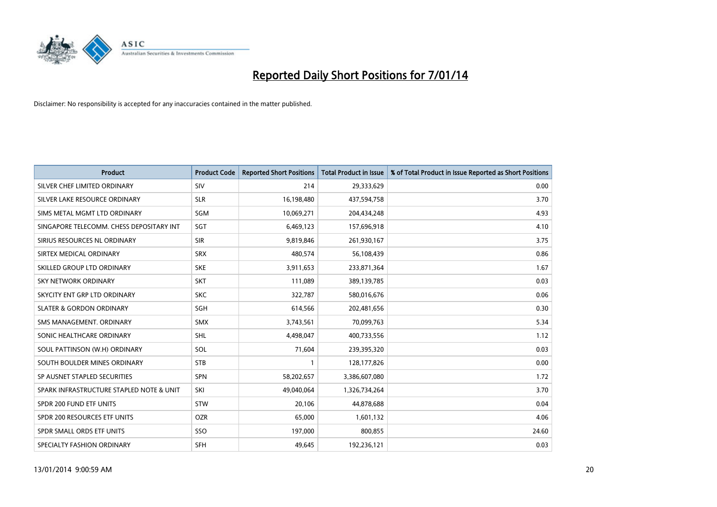

| <b>Product</b>                           | <b>Product Code</b> | <b>Reported Short Positions</b> | <b>Total Product in Issue</b> | % of Total Product in Issue Reported as Short Positions |
|------------------------------------------|---------------------|---------------------------------|-------------------------------|---------------------------------------------------------|
| SILVER CHEF LIMITED ORDINARY             | SIV                 | 214                             | 29,333,629                    | 0.00                                                    |
| SILVER LAKE RESOURCE ORDINARY            | <b>SLR</b>          | 16,198,480                      | 437,594,758                   | 3.70                                                    |
| SIMS METAL MGMT LTD ORDINARY             | SGM                 | 10,069,271                      | 204,434,248                   | 4.93                                                    |
| SINGAPORE TELECOMM. CHESS DEPOSITARY INT | SGT                 | 6,469,123                       | 157,696,918                   | 4.10                                                    |
| SIRIUS RESOURCES NL ORDINARY             | <b>SIR</b>          | 9,819,846                       | 261,930,167                   | 3.75                                                    |
| SIRTEX MEDICAL ORDINARY                  | <b>SRX</b>          | 480,574                         | 56,108,439                    | 0.86                                                    |
| SKILLED GROUP LTD ORDINARY               | <b>SKE</b>          | 3,911,653                       | 233,871,364                   | 1.67                                                    |
| SKY NETWORK ORDINARY                     | <b>SKT</b>          | 111,089                         | 389,139,785                   | 0.03                                                    |
| SKYCITY ENT GRP LTD ORDINARY             | <b>SKC</b>          | 322,787                         | 580,016,676                   | 0.06                                                    |
| <b>SLATER &amp; GORDON ORDINARY</b>      | SGH                 | 614,566                         | 202,481,656                   | 0.30                                                    |
| SMS MANAGEMENT. ORDINARY                 | <b>SMX</b>          | 3,743,561                       | 70,099,763                    | 5.34                                                    |
| SONIC HEALTHCARE ORDINARY                | <b>SHL</b>          | 4,498,047                       | 400,733,556                   | 1.12                                                    |
| SOUL PATTINSON (W.H) ORDINARY            | SOL                 | 71,604                          | 239,395,320                   | 0.03                                                    |
| SOUTH BOULDER MINES ORDINARY             | <b>STB</b>          | $\mathbf{1}$                    | 128, 177, 826                 | 0.00                                                    |
| SP AUSNET STAPLED SECURITIES             | SPN                 | 58,202,657                      | 3,386,607,080                 | 1.72                                                    |
| SPARK INFRASTRUCTURE STAPLED NOTE & UNIT | SKI                 | 49,040,064                      | 1,326,734,264                 | 3.70                                                    |
| SPDR 200 FUND ETF UNITS                  | <b>STW</b>          | 20,106                          | 44,878,688                    | 0.04                                                    |
| SPDR 200 RESOURCES ETF UNITS             | <b>OZR</b>          | 65.000                          | 1,601,132                     | 4.06                                                    |
| SPDR SMALL ORDS ETF UNITS                | SSO                 | 197,000                         | 800,855                       | 24.60                                                   |
| SPECIALTY FASHION ORDINARY               | SFH                 | 49,645                          | 192,236,121                   | 0.03                                                    |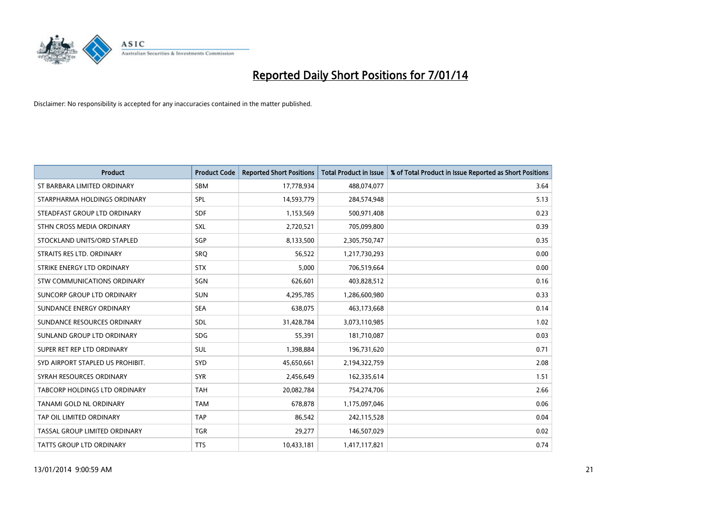

| <b>Product</b>                   | <b>Product Code</b> | <b>Reported Short Positions</b> | <b>Total Product in Issue</b> | % of Total Product in Issue Reported as Short Positions |
|----------------------------------|---------------------|---------------------------------|-------------------------------|---------------------------------------------------------|
| ST BARBARA LIMITED ORDINARY      | <b>SBM</b>          | 17,778,934                      | 488,074,077                   | 3.64                                                    |
| STARPHARMA HOLDINGS ORDINARY     | SPL                 | 14,593,779                      | 284,574,948                   | 5.13                                                    |
| STEADFAST GROUP LTD ORDINARY     | <b>SDF</b>          | 1,153,569                       | 500,971,408                   | 0.23                                                    |
| STHN CROSS MEDIA ORDINARY        | <b>SXL</b>          | 2,720,521                       | 705,099,800                   | 0.39                                                    |
| STOCKLAND UNITS/ORD STAPLED      | SGP                 | 8,133,500                       | 2,305,750,747                 | 0.35                                                    |
| STRAITS RES LTD. ORDINARY        | SRQ                 | 56,522                          | 1,217,730,293                 | 0.00                                                    |
| STRIKE ENERGY LTD ORDINARY       | <b>STX</b>          | 5,000                           | 706,519,664                   | 0.00                                                    |
| STW COMMUNICATIONS ORDINARY      | SGN                 | 626,601                         | 403,828,512                   | 0.16                                                    |
| SUNCORP GROUP LTD ORDINARY       | <b>SUN</b>          | 4,295,785                       | 1,286,600,980                 | 0.33                                                    |
| SUNDANCE ENERGY ORDINARY         | <b>SEA</b>          | 638,075                         | 463,173,668                   | 0.14                                                    |
| SUNDANCE RESOURCES ORDINARY      | SDL                 | 31,428,784                      | 3,073,110,985                 | 1.02                                                    |
| SUNLAND GROUP LTD ORDINARY       | <b>SDG</b>          | 55,391                          | 181,710,087                   | 0.03                                                    |
| SUPER RET REP LTD ORDINARY       | <b>SUL</b>          | 1,398,884                       | 196,731,620                   | 0.71                                                    |
| SYD AIRPORT STAPLED US PROHIBIT. | <b>SYD</b>          | 45,650,661                      | 2,194,322,759                 | 2.08                                                    |
| SYRAH RESOURCES ORDINARY         | <b>SYR</b>          | 2,456,649                       | 162,335,614                   | 1.51                                                    |
| TABCORP HOLDINGS LTD ORDINARY    | <b>TAH</b>          | 20,082,784                      | 754,274,706                   | 2.66                                                    |
| TANAMI GOLD NL ORDINARY          | <b>TAM</b>          | 678,878                         | 1,175,097,046                 | 0.06                                                    |
| TAP OIL LIMITED ORDINARY         | <b>TAP</b>          | 86,542                          | 242,115,528                   | 0.04                                                    |
| TASSAL GROUP LIMITED ORDINARY    | <b>TGR</b>          | 29,277                          | 146,507,029                   | 0.02                                                    |
| TATTS GROUP LTD ORDINARY         | <b>TTS</b>          | 10,433,181                      | 1,417,117,821                 | 0.74                                                    |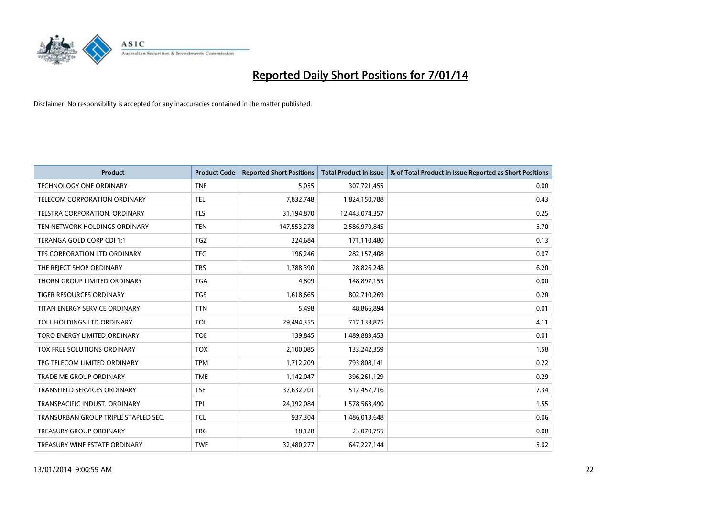

| <b>Product</b>                       | <b>Product Code</b> | <b>Reported Short Positions</b> | <b>Total Product in Issue</b> | % of Total Product in Issue Reported as Short Positions |
|--------------------------------------|---------------------|---------------------------------|-------------------------------|---------------------------------------------------------|
| <b>TECHNOLOGY ONE ORDINARY</b>       | <b>TNE</b>          | 5,055                           | 307,721,455                   | 0.00                                                    |
| TELECOM CORPORATION ORDINARY         | <b>TEL</b>          | 7,832,748                       | 1,824,150,788                 | 0.43                                                    |
| <b>TELSTRA CORPORATION, ORDINARY</b> | <b>TLS</b>          | 31,194,870                      | 12,443,074,357                | 0.25                                                    |
| TEN NETWORK HOLDINGS ORDINARY        | <b>TEN</b>          | 147,553,278                     | 2,586,970,845                 | 5.70                                                    |
| TERANGA GOLD CORP CDI 1:1            | <b>TGZ</b>          | 224,684                         | 171,110,480                   | 0.13                                                    |
| TFS CORPORATION LTD ORDINARY         | <b>TFC</b>          | 196,246                         | 282,157,408                   | 0.07                                                    |
| THE REJECT SHOP ORDINARY             | <b>TRS</b>          | 1,788,390                       | 28,826,248                    | 6.20                                                    |
| THORN GROUP LIMITED ORDINARY         | <b>TGA</b>          | 4,809                           | 148,897,155                   | 0.00                                                    |
| TIGER RESOURCES ORDINARY             | <b>TGS</b>          | 1,618,665                       | 802,710,269                   | 0.20                                                    |
| TITAN ENERGY SERVICE ORDINARY        | <b>TTN</b>          | 5,498                           | 48,866,894                    | 0.01                                                    |
| TOLL HOLDINGS LTD ORDINARY           | <b>TOL</b>          | 29,494,355                      | 717,133,875                   | 4.11                                                    |
| TORO ENERGY LIMITED ORDINARY         | <b>TOE</b>          | 139,845                         | 1,489,883,453                 | 0.01                                                    |
| TOX FREE SOLUTIONS ORDINARY          | <b>TOX</b>          | 2,100,085                       | 133,242,359                   | 1.58                                                    |
| TPG TELECOM LIMITED ORDINARY         | <b>TPM</b>          | 1,712,209                       | 793,808,141                   | 0.22                                                    |
| TRADE ME GROUP ORDINARY              | <b>TME</b>          | 1,142,047                       | 396,261,129                   | 0.29                                                    |
| <b>TRANSFIELD SERVICES ORDINARY</b>  | <b>TSE</b>          | 37,632,701                      | 512,457,716                   | 7.34                                                    |
| TRANSPACIFIC INDUST. ORDINARY        | <b>TPI</b>          | 24,392,084                      | 1,578,563,490                 | 1.55                                                    |
| TRANSURBAN GROUP TRIPLE STAPLED SEC. | <b>TCL</b>          | 937,304                         | 1,486,013,648                 | 0.06                                                    |
| <b>TREASURY GROUP ORDINARY</b>       | <b>TRG</b>          | 18,128                          | 23,070,755                    | 0.08                                                    |
| TREASURY WINE ESTATE ORDINARY        | <b>TWE</b>          | 32,480,277                      | 647,227,144                   | 5.02                                                    |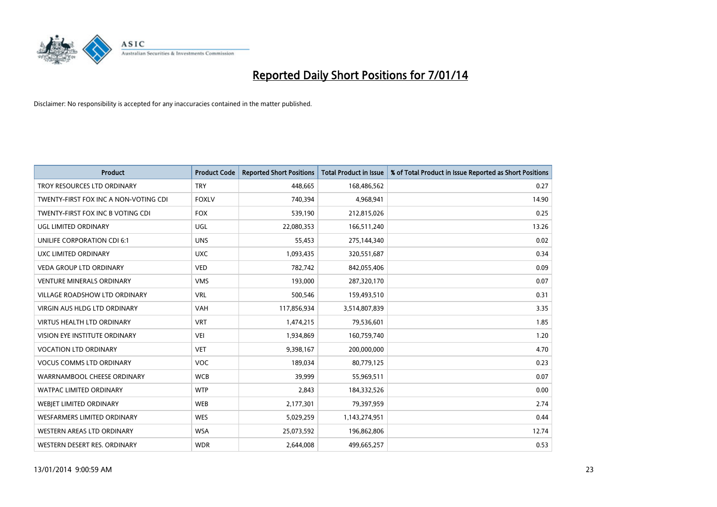

| <b>Product</b>                        | <b>Product Code</b> | <b>Reported Short Positions</b> | <b>Total Product in Issue</b> | % of Total Product in Issue Reported as Short Positions |
|---------------------------------------|---------------------|---------------------------------|-------------------------------|---------------------------------------------------------|
| TROY RESOURCES LTD ORDINARY           | <b>TRY</b>          | 448,665                         | 168,486,562                   | 0.27                                                    |
| TWENTY-FIRST FOX INC A NON-VOTING CDI | <b>FOXLV</b>        | 740,394                         | 4,968,941                     | 14.90                                                   |
| TWENTY-FIRST FOX INC B VOTING CDI     | <b>FOX</b>          | 539,190                         | 212,815,026                   | 0.25                                                    |
| <b>UGL LIMITED ORDINARY</b>           | <b>UGL</b>          | 22,080,353                      | 166,511,240                   | 13.26                                                   |
| UNILIFE CORPORATION CDI 6:1           | <b>UNS</b>          | 55,453                          | 275,144,340                   | 0.02                                                    |
| <b>UXC LIMITED ORDINARY</b>           | <b>UXC</b>          | 1,093,435                       | 320,551,687                   | 0.34                                                    |
| <b>VEDA GROUP LTD ORDINARY</b>        | <b>VED</b>          | 782,742                         | 842,055,406                   | 0.09                                                    |
| <b>VENTURE MINERALS ORDINARY</b>      | <b>VMS</b>          | 193,000                         | 287,320,170                   | 0.07                                                    |
| VILLAGE ROADSHOW LTD ORDINARY         | <b>VRL</b>          | 500,546                         | 159,493,510                   | 0.31                                                    |
| VIRGIN AUS HLDG LTD ORDINARY          | <b>VAH</b>          | 117,856,934                     | 3,514,807,839                 | 3.35                                                    |
| VIRTUS HEALTH LTD ORDINARY            | <b>VRT</b>          | 1,474,215                       | 79,536,601                    | 1.85                                                    |
| <b>VISION EYE INSTITUTE ORDINARY</b>  | <b>VEI</b>          | 1,934,869                       | 160,759,740                   | 1.20                                                    |
| <b>VOCATION LTD ORDINARY</b>          | <b>VET</b>          | 9,398,167                       | 200,000,000                   | 4.70                                                    |
| <b>VOCUS COMMS LTD ORDINARY</b>       | VOC                 | 189,034                         | 80,779,125                    | 0.23                                                    |
| WARRNAMBOOL CHEESE ORDINARY           | <b>WCB</b>          | 39,999                          | 55,969,511                    | 0.07                                                    |
| WATPAC LIMITED ORDINARY               | <b>WTP</b>          | 2,843                           | 184,332,526                   | 0.00                                                    |
| WEBJET LIMITED ORDINARY               | <b>WEB</b>          | 2,177,301                       | 79,397,959                    | 2.74                                                    |
| <b>WESFARMERS LIMITED ORDINARY</b>    | <b>WES</b>          | 5,029,259                       | 1,143,274,951                 | 0.44                                                    |
| WESTERN AREAS LTD ORDINARY            | <b>WSA</b>          | 25,073,592                      | 196,862,806                   | 12.74                                                   |
| WESTERN DESERT RES. ORDINARY          | <b>WDR</b>          | 2,644,008                       | 499,665,257                   | 0.53                                                    |